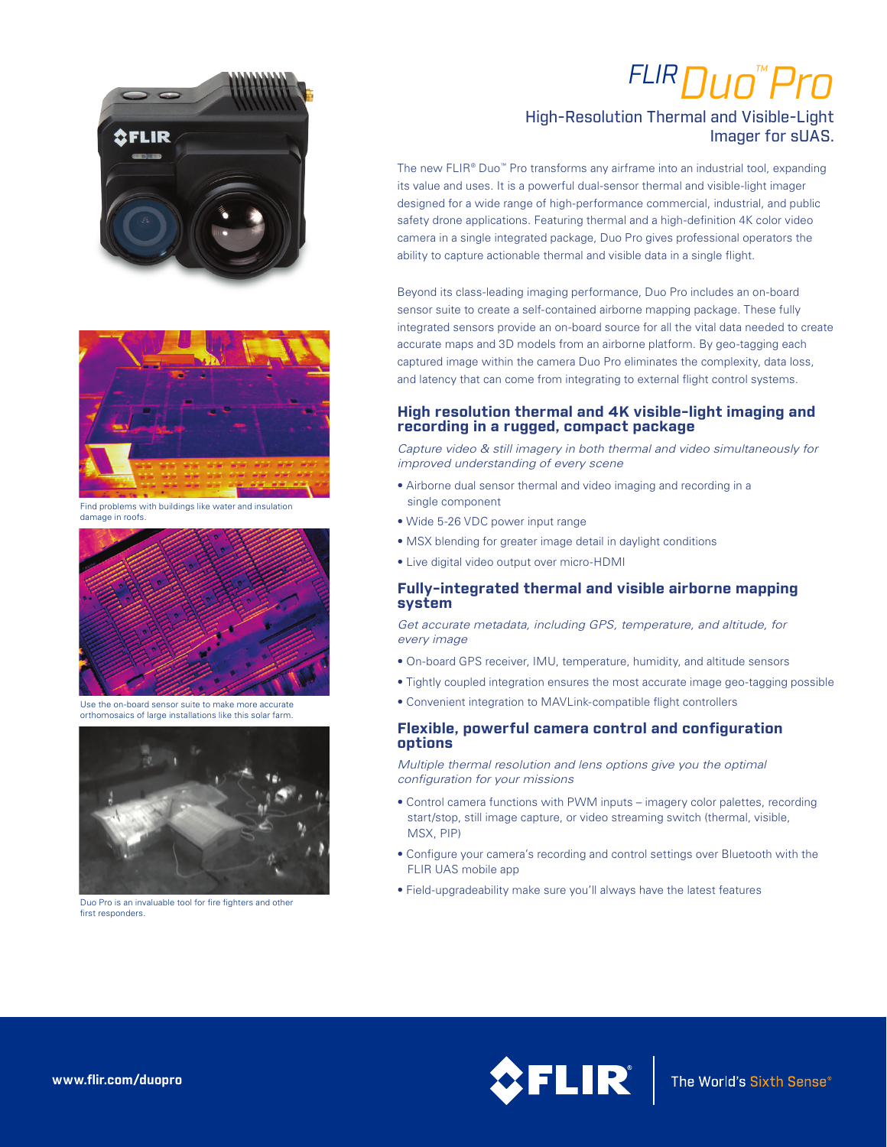# *FLIRDuo™ Pro*

# High-Resolution Thermal and Visible-Light Imager for sUAS.

The new FLIR® Duo™ Pro transforms any airframe into an industrial tool, expanding its value and uses. It is a powerful dual-sensor thermal and visible-light imager designed for a wide range of high-performance commercial, industrial, and public safety drone applications. Featuring thermal and a high-definition 4K color video camera in a single integrated package, Duo Pro gives professional operators the ability to capture actionable thermal and visible data in a single flight.

Beyond its class-leading imaging performance, Duo Pro includes an on-board sensor suite to create a self-contained airborne mapping package. These fully integrated sensors provide an on-board source for all the vital data needed to create accurate maps and 3D models from an airborne platform. By geo-tagging each captured image within the camera Duo Pro eliminates the complexity, data loss, and latency that can come from integrating to external flight control systems.

#### **High resolution thermal and 4K visible-light imaging and recording in a rugged, compact package**

*Capture video & still imagery in both thermal and video simultaneously for improved understanding of every scene*

- Airborne dual sensor thermal and video imaging and recording in a single component
- Wide 5-26 VDC power input range
- MSX blending for greater image detail in daylight conditions
- Live digital video output over micro-HDMI

### **Fully-integrated thermal and visible airborne mapping system**

*Get accurate metadata, including GPS, temperature, and altitude, for every image* 

- On-board GPS receiver, IMU, temperature, humidity, and altitude sensors
- Tightly coupled integration ensures the most accurate image geo-tagging possible
- Convenient integration to MAVLink-compatible flight controllers

#### **Flexible, powerful camera control and configuration options**

*Multiple thermal resolution and lens options give you the optimal configuration for your missions*

- Control camera functions with PWM inputs imagery color palettes, recording start/stop, still image capture, or video streaming switch (thermal, visible, MSX, PIP)
- Configure your camera's recording and control settings over Bluetooth with the FLIR UAS mobile app
- Field-upgradeability make sure you'll always have the latest features





**SFLIR** 

Find problems with buildings like water and insulation damage in roofs.



Use the on-board sensor suite to make more accurate orthomosaics of large installations like this solar farm.



first responders.